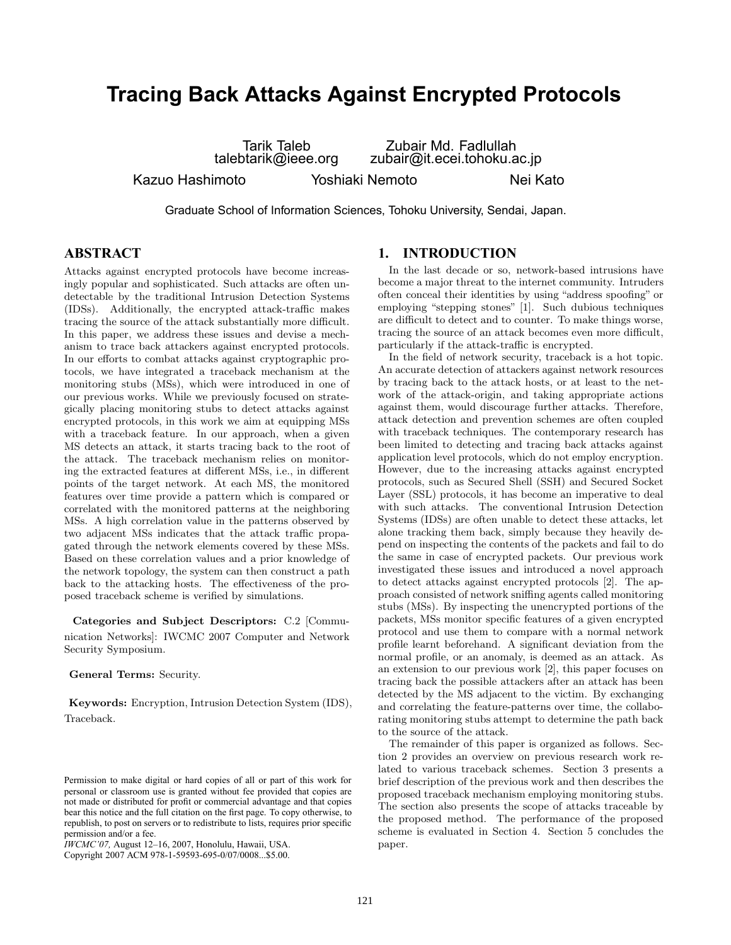# **Tracing Back Attacks Against Encrypted Protocols**

Tarik Taleb talebtarik@ieee.org

Zubair Md. Fadlullah zubair@it.ecei.tohoku.ac.jp Kazuo Hashimoto Yoshiaki Nemoto Nei Kato

Graduate School of Information Sciences, Tohoku University, Sendai, Japan.

# **ABSTRACT**

Attacks against encrypted protocols have become increasingly popular and sophisticated. Such attacks are often undetectable by the traditional Intrusion Detection Systems (IDSs). Additionally, the encrypted attack-traffic makes tracing the source of the attack substantially more difficult. In this paper, we address these issues and devise a mechanism to trace back attackers against encrypted protocols. In our efforts to combat attacks against cryptographic protocols, we have integrated a traceback mechanism at the monitoring stubs (MSs), which were introduced in one of our previous works. While we previously focused on strategically placing monitoring stubs to detect attacks against encrypted protocols, in this work we aim at equipping MSs with a traceback feature. In our approach, when a given MS detects an attack, it starts tracing back to the root of the attack. The traceback mechanism relies on monitoring the extracted features at different MSs, i.e., in different points of the target network. At each MS, the monitored features over time provide a pattern which is compared or correlated with the monitored patterns at the neighboring MSs. A high correlation value in the patterns observed by two adjacent MSs indicates that the attack traffic propagated through the network elements covered by these MSs. Based on these correlation values and a prior knowledge of the network topology, the system can then construct a path back to the attacking hosts. The effectiveness of the proposed traceback scheme is verified by simulations.

**Categories and Subject Descriptors:** C.2 [Communication Networks]: IWCMC 2007 Computer and Network Security Symposium.

#### **General Terms:** Security.

**Keywords:** Encryption, Intrusion Detection System (IDS), Traceback.

## **1. INTRODUCTION**

In the last decade or so, network-based intrusions have become a major threat to the internet community. Intruders often conceal their identities by using "address spoofing" or employing "stepping stones" [1]. Such dubious techniques are difficult to detect and to counter. To make things worse, tracing the source of an attack becomes even more difficult, particularly if the attack-traffic is encrypted.

In the field of network security, traceback is a hot topic. An accurate detection of attackers against network resources by tracing back to the attack hosts, or at least to the network of the attack-origin, and taking appropriate actions against them, would discourage further attacks. Therefore, attack detection and prevention schemes are often coupled with traceback techniques. The contemporary research has been limited to detecting and tracing back attacks against application level protocols, which do not employ encryption. However, due to the increasing attacks against encrypted protocols, such as Secured Shell (SSH) and Secured Socket Layer (SSL) protocols, it has become an imperative to deal with such attacks. The conventional Intrusion Detection Systems (IDSs) are often unable to detect these attacks, let alone tracking them back, simply because they heavily depend on inspecting the contents of the packets and fail to do the same in case of encrypted packets. Our previous work investigated these issues and introduced a novel approach to detect attacks against encrypted protocols [2]. The approach consisted of network sniffing agents called monitoring stubs (MSs). By inspecting the unencrypted portions of the packets, MSs monitor specific features of a given encrypted protocol and use them to compare with a normal network profile learnt beforehand. A significant deviation from the normal profile, or an anomaly, is deemed as an attack. As an extension to our previous work [2], this paper focuses on tracing back the possible attackers after an attack has been detected by the MS adjacent to the victim. By exchanging and correlating the feature-patterns over time, the collaborating monitoring stubs attempt to determine the path back to the source of the attack.

The remainder of this paper is organized as follows. Section 2 provides an overview on previous research work related to various traceback schemes. Section 3 presents a brief description of the previous work and then describes the proposed traceback mechanism employing monitoring stubs. The section also presents the scope of attacks traceable by the proposed method. The performance of the proposed scheme is evaluated in Section 4. Section 5 concludes the paper.

Permission to make digital or hard copies of all or part of this work for personal or classroom use is granted without fee provided that copies are not made or distributed for profit or commercial advantage and that copies bear this notice and the full citation on the first page. To copy otherwise, to republish, to post on servers or to redistribute to lists, requires prior specific permission and/or a fee.

*IWCMC'07,* August 12–16, 2007, Honolulu, Hawaii, USA.

Copyright 2007 ACM 978-1-59593-695-0/07/0008...\$5.00.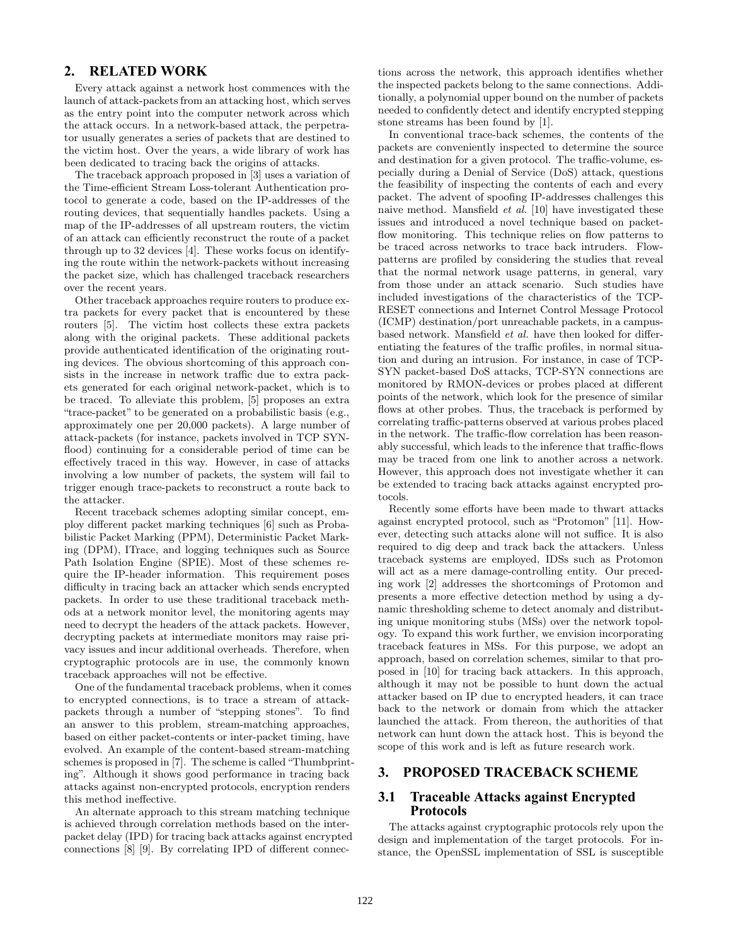# **2. RELATED WORK**

Every attack against a network host commences with the launch of attack-packets from an attacking host, which serves as the entry point into the computer network across which the attack occurs. In a network-based attack, the perpetrator usually generates a series of packets that are destined to the victim host. Over the years, a wide library of work has been dedicated to tracing back the origins of attacks.

The traceback approach proposed in [3] uses a variation of the Time-efficient Stream Loss-tolerant Authentication protocol to generate a code, based on the IP-addresses of the routing devices, that sequentially handles packets. Using a map of the IP-addresses of all upstream routers, the victim of an attack can efficiently reconstruct the route of a packet through up to 32 devices [4]. These works focus on identifying the route within the network-packets without increasing the packet size, which has challenged traceback researchers over the recent years.

Other traceback approaches require routers to produce extra packets for every packet that is encountered by these routers [5]. The victim host collects these extra packets along with the original packets. These additional packets provide authenticated identification of the originating routing devices. The obvious shortcoming of this approach consists in the increase in network traffic due to extra packets generated for each original network-packet, which is to be traced. To alleviate this problem, [5] proposes an extra "trace-packet" to be generated on a probabilistic basis (e.g., approximately one per 20,000 packets). A large number of attack-packets (for instance, packets involved in TCP SYNflood) continuing for a considerable period of time can be effectively traced in this way. However, in case of attacks involving a low number of packets, the system will fail to trigger enough trace-packets to reconstruct a route back to the attacker.

Recent traceback schemes adopting similar concept, employ different packet marking techniques [6] such as Probabilistic Packet Marking (PPM), Deterministic Packet Marking (DPM), ITrace, and logging techniques such as Source Path Isolation Engine (SPIE). Most of these schemes require the IP-header information. This requirement poses difficulty in tracing back an attacker which sends encrypted packets. In order to use these traditional traceback methods at a network monitor level, the monitoring agents may need to decrypt the headers of the attack packets. However, decrypting packets at intermediate monitors may raise privacy issues and incur additional overheads. Therefore, when cryptographic protocols are in use, the commonly known traceback approaches will not be effective.

One of the fundamental traceback problems, when it comes to encrypted connections, is to trace a stream of attackpackets through a number of "stepping stones". To find an answer to this problem, stream-matching approaches, based on either packet-contents or inter-packet timing, have evolved. An example of the content-based stream-matching schemes is proposed in [7]. The scheme is called "Thumbprinting". Although it shows good performance in tracing back attacks against non-encrypted protocols, encryption renders this method ineffective.

An alternate approach to this stream matching technique is achieved through correlation methods based on the interpacket delay (IPD) for tracing back attacks against encrypted connections [8] [9]. By correlating IPD of different connections across the network, this approach identifies whether the inspected packets belong to the same connections. Additionally, a polynomial upper bound on the number of packets needed to confidently detect and identify encrypted stepping stone streams has been found by [1].

In conventional trace-back schemes, the contents of the packets are conveniently inspected to determine the source and destination for a given protocol. The traffic-volume, especially during a Denial of Service (DoS) attack, questions the feasibility of inspecting the contents of each and every packet. The advent of spoofing IP-addresses challenges this naive method. Mansfield *et al.* [10] have investigated these issues and introduced a novel technique based on packetflow monitoring. This technique relies on flow patterns to be traced across networks to trace back intruders. Flowpatterns are profiled by considering the studies that reveal that the normal network usage patterns, in general, vary from those under an attack scenario. Such studies have included investigations of the characteristics of the TCP-RESET connections and Internet Control Message Protocol (ICMP) destination/port unreachable packets, in a campusbased network. Mansfield *et al.* have then looked for differentiating the features of the traffic profiles, in normal situation and during an intrusion. For instance, in case of TCP-SYN packet-based DoS attacks, TCP-SYN connections are monitored by RMON-devices or probes placed at different points of the network, which look for the presence of similar flows at other probes. Thus, the traceback is performed by correlating traffic-patterns observed at various probes placed in the network. The traffic-flow correlation has been reasonably successful, which leads to the inference that traffic-flows may be traced from one link to another across a network. However, this approach does not investigate whether it can be extended to tracing back attacks against encrypted protocols.

Recently some efforts have been made to thwart attacks against encrypted protocol, such as "Protomon" [11]. However, detecting such attacks alone will not suffice. It is also required to dig deep and track back the attackers. Unless traceback systems are employed, IDSs such as Protomon will act as a mere damage-controlling entity. Our preceding work [2] addresses the shortcomings of Protomon and presents a more effective detection method by using a dynamic thresholding scheme to detect anomaly and distributing unique monitoring stubs (MSs) over the network topology. To expand this work further, we envision incorporating traceback features in MSs. For this purpose, we adopt an approach, based on correlation schemes, similar to that proposed in [10] for tracing back attackers. In this approach, although it may not be possible to hunt down the actual attacker based on IP due to encrypted headers, it can trace back to the network or domain from which the attacker launched the attack. From thereon, the authorities of that network can hunt down the attack host. This is beyond the scope of this work and is left as future research work.

## **3. PROPOSED TRACEBACK SCHEME**

## **3.1 Traceable Attacks against Encrypted Protocols**

The attacks against cryptographic protocols rely upon the design and implementation of the target protocols. For instance, the OpenSSL implementation of SSL is susceptible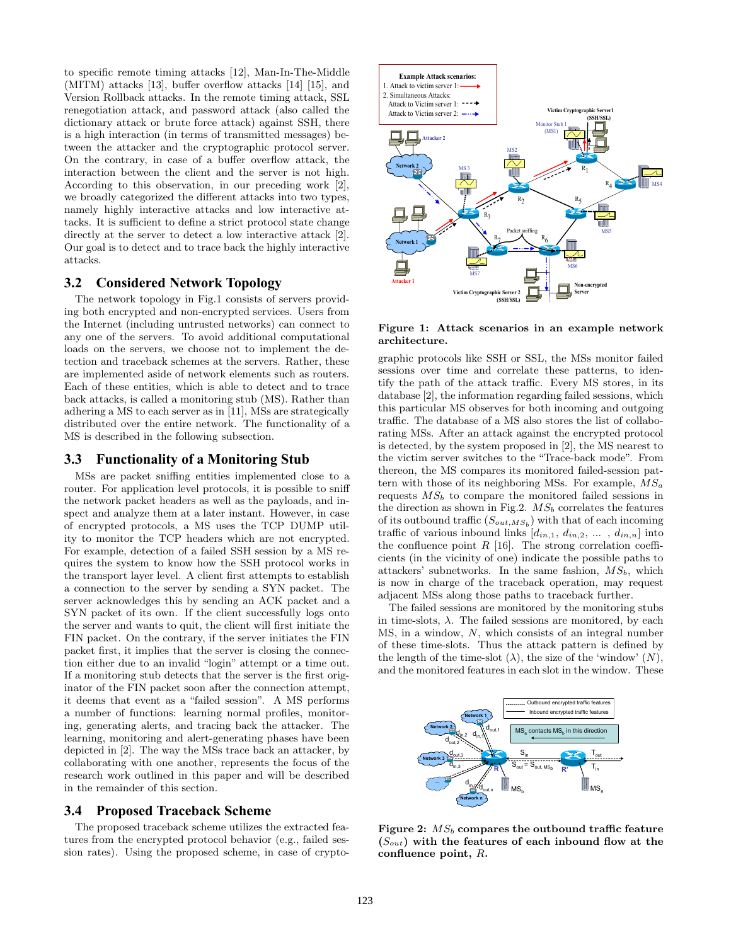to specific remote timing attacks [12], Man-In-The-Middle (MITM) attacks [13], buffer overflow attacks [14] [15], and Version Rollback attacks. In the remote timing attack, SSL renegotiation attack, and password attack (also called the dictionary attack or brute force attack) against SSH, there is a high interaction (in terms of transmitted messages) between the attacker and the cryptographic protocol server. On the contrary, in case of a buffer overflow attack, the interaction between the client and the server is not high. According to this observation, in our preceding work [2], we broadly categorized the different attacks into two types, namely highly interactive attacks and low interactive attacks. It is sufficient to define a strict protocol state change directly at the server to detect a low interactive attack [2]. Our goal is to detect and to trace back the highly interactive attacks.

## **3.2 Considered Network Topology**

The network topology in Fig.1 consists of servers providing both encrypted and non-encrypted services. Users from the Internet (including untrusted networks) can connect to any one of the servers. To avoid additional computational loads on the servers, we choose not to implement the detection and traceback schemes at the servers. Rather, these are implemented aside of network elements such as routers. Each of these entities, which is able to detect and to trace back attacks, is called a monitoring stub (MS). Rather than adhering a MS to each server as in [11], MSs are strategically distributed over the entire network. The functionality of a MS is described in the following subsection.

## **3.3 Functionality of a Monitoring Stub**

MSs are packet sniffing entities implemented close to a router. For application level protocols, it is possible to sniff the network packet headers as well as the payloads, and inspect and analyze them at a later instant. However, in case of encrypted protocols, a MS uses the TCP DUMP utility to monitor the TCP headers which are not encrypted. For example, detection of a failed SSH session by a MS requires the system to know how the SSH protocol works in the transport layer level. A client first attempts to establish a connection to the server by sending a SYN packet. The server acknowledges this by sending an ACK packet and a SYN packet of its own. If the client successfully logs onto the server and wants to quit, the client will first initiate the FIN packet. On the contrary, if the server initiates the FIN packet first, it implies that the server is closing the connection either due to an invalid "login" attempt or a time out. If a monitoring stub detects that the server is the first originator of the FIN packet soon after the connection attempt, it deems that event as a "failed session". A MS performs a number of functions: learning normal profiles, monitoring, generating alerts, and tracing back the attacker. The learning, monitoring and alert-generating phases have been depicted in [2]. The way the MSs trace back an attacker, by collaborating with one another, represents the focus of the research work outlined in this paper and will be described in the remainder of this section.

#### **3.4 Proposed Traceback Scheme**

The proposed traceback scheme utilizes the extracted features from the encrypted protocol behavior (e.g., failed session rates). Using the proposed scheme, in case of crypto-



**Figure 1: Attack scenarios in an example network architecture.**

graphic protocols like SSH or SSL, the MSs monitor failed sessions over time and correlate these patterns, to identify the path of the attack traffic. Every MS stores, in its database [2], the information regarding failed sessions, which this particular MS observes for both incoming and outgoing traffic. The database of a MS also stores the list of collaborating MSs. After an attack against the encrypted protocol is detected, by the system proposed in [2], the MS nearest to the victim server switches to the "Trace-back mode". From thereon, the MS compares its monitored failed-session pattern with those of its neighboring MSs. For example,  $MS_a$ requests  $MS_b$  to compare the monitored failed sessions in the direction as shown in Fig.2.  $MS_b$  correlates the features of its outbound traffic  $(S_{out,MS_b})$  with that of each incoming traffic of various inbound links  $[d_{in,1}, d_{in,2}, \ldots, d_{in,n}]$  into the confluence point  $R$  [16]. The strong correlation coefficients (in the vicinity of one) indicate the possible paths to attackers' subnetworks. In the same fashion,  $MS<sub>b</sub>$ , which is now in charge of the traceback operation, may request adjacent MSs along those paths to traceback further.

The failed sessions are monitored by the monitoring stubs in time-slots,  $\lambda$ . The failed sessions are monitored, by each MS, in a window, N, which consists of an integral number of these time-slots. Thus the attack pattern is defined by the length of the time-slot  $(\lambda)$ , the size of the 'window'  $(N)$ , and the monitored features in each slot in the window. These



Figure 2:  $MS_b$  compares the outbound traffic feature  $(S_{out})$  with the features of each inbound flow at the **confluence point,** R**.**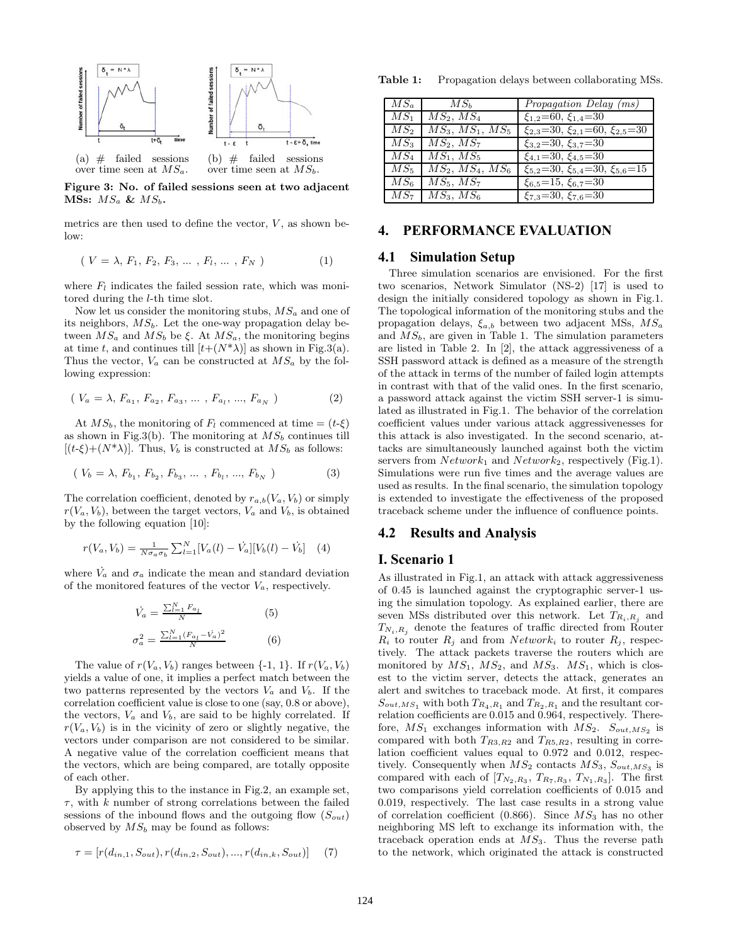

**Figure 3: No. of failed sessions seen at two adjacent MSs:** MS<sup>a</sup> **&** MSb**.**

metrics are then used to define the vector,  $V$ , as shown below:

$$
(V = \lambda, F_1, F_2, F_3, \dots, F_l, \dots, F_N)
$$
 (1)

where  $F_l$  indicates the failed session rate, which was monitored during the l-th time slot.

Now let us consider the monitoring stubs,  $MS_a$  and one of its neighbors,  $MS_b$ . Let the one-way propagation delay between  $MS_a$  and  $MS_b$  be ξ. At  $MS_a$ , the monitoring begins at time t, and continues till  $[t+(N^*)]$  as shown in Fig.3(a). Thus the vector,  $V_a$  can be constructed at  $MS_a$  by the following expression:

$$
(V_a = \lambda, F_{a_1}, F_{a_2}, F_{a_3}, \dots, F_{a_l}, ..., F_{a_N})
$$
 (2)

At  $MS_b$ , the monitoring of  $F_l$  commenced at time =  $(t-\xi)$ as shown in Fig.3(b). The monitoring at  $MS_b$  continues till  $[(t-\xi)+(N^*\lambda)]$ . Thus,  $V_b$  is constructed at  $MS_b$  as follows:

$$
(V_b = \lambda, F_{b_1}, F_{b_2}, F_{b_3}, \dots, F_{b_l}, ..., F_{b_N})
$$
 (3)

The correlation coefficient, denoted by  $r_{a,b}(V_a, V_b)$  or simply  $r(V_a, V_b)$ , between the target vectors,  $V_a$  and  $V_b$ , is obtained by the following equation [10]:

$$
r(V_a, V_b) = \frac{1}{N\sigma_a \sigma_b} \sum_{l=1}^{N} [V_a(l) - \dot{V}_a][V_b(l) - \dot{V}_b]
$$
 (4)

where  $\dot{V}_a$  and  $\sigma_a$  indicate the mean and standard deviation of the monitored features of the vector  $V_a$ , respectively.

$$
\dot{V}_a = \frac{\sum_{l=1}^{N} F_{a_l}}{N}
$$
\n(5)\n
$$
\sigma_a^2 = \frac{\sum_{l=1}^{N} (F_{a_l} - \dot{V}_a)^2}{N}
$$
\n(6)

The value of  $r(V_a, V_b)$  ranges between  $\{-1, 1\}$ . If  $r(V_a, V_b)$ yields a value of one, it implies a perfect match between the two patterns represented by the vectors  $V_a$  and  $V_b$ . If the correlation coefficient value is close to one (say, 0.8 or above), the vectors,  $V_a$  and  $V_b$ , are said to be highly correlated. If  $r(V_a, V_b)$  is in the vicinity of zero or slightly negative, the vectors under comparison are not considered to be similar. A negative value of the correlation coefficient means that the vectors, which are being compared, are totally opposite of each other.

By applying this to the instance in Fig.2, an example set,  $\tau$ , with k number of strong correlations between the failed sessions of the inbound flows and the outgoing flow  $(S_{out})$ observed by  $MS_b$  may be found as follows:

$$
\tau = [r(d_{in,1}, S_{out}), r(d_{in,2}, S_{out}), ..., r(d_{in,k}, S_{out})]
$$
(7)

Table 1: Propagation delays between collaborating MSs.

| $MS_a$          | $MS_b$                    | <i>Propagation Delay (ms)</i>                                             |
|-----------------|---------------------------|---------------------------------------------------------------------------|
| $MS_1$          | $MS_2, MS_4$              | $\xi_{1,2} = 60, \xi_{1,4} = 30$                                          |
| $MS_2$          |                           | $MS_3, MS_1, MS_5$   $\xi_{2,3}$ = 30, $\xi_{2,1}$ = 60, $\xi_{2,5}$ = 30 |
| MS <sub>3</sub> | $MS_2, MS_7$              | $\xi_{3,2} = 30, \xi_{3,7} = 30$                                          |
| $MS_4$          | $MS_1, MS_5$              | $\xi_{4.1} = 30, \xi_{4.5} = 30$                                          |
| $MS_5$          |                           | $MS_2, MS_4, MS_6$   $\xi_{5,2}$ =30, $\xi_{5,4}$ =30, $\xi_{5,6}$ =15    |
| $MS_6$          | $\overline{MS}_5,\, MS_7$ | $\xi_{6.5} = 15, \xi_{6.7} = 30$                                          |
|                 | $MS_7$   $MS_3$ , $MS_6$  | $\xi_{7.3} = 30, \xi_{7.6} = 30$                                          |

# **4. PERFORMANCE EVALUATION**

#### **4.1 Simulation Setup**

Three simulation scenarios are envisioned. For the first two scenarios, Network Simulator (NS-2) [17] is used to design the initially considered topology as shown in Fig.1. The topological information of the monitoring stubs and the propagation delays,  $\xi_{a,b}$  between two adjacent MSs,  $MS_a$ and  $MS_b$ , are given in Table 1. The simulation parameters are listed in Table 2. In [2], the attack aggressiveness of a SSH password attack is defined as a measure of the strength of the attack in terms of the number of failed login attempts in contrast with that of the valid ones. In the first scenario, a password attack against the victim SSH server-1 is simulated as illustrated in Fig.1. The behavior of the correlation coefficient values under various attack aggressivenesses for this attack is also investigated. In the second scenario, attacks are simultaneously launched against both the victim servers from  $Network_1$  and  $Network_2$ , respectively (Fig.1). Simulations were run five times and the average values are used as results. In the final scenario, the simulation topology is extended to investigate the effectiveness of the proposed traceback scheme under the influence of confluence points.

## **4.2 Results and Analysis**

#### **I. Scenario 1**

As illustrated in Fig.1, an attack with attack aggressiveness of 0.45 is launched against the cryptographic server-1 using the simulation topology. As explained earlier, there are seven MSs distributed over this network. Let  $T_{R_i,R_j}$  and  $T_{N_i,R_j}$  denote the features of traffic directed from Router  $R_i$  to router  $R_j$  and from  $Network_i$  to router  $R_j$ , respectively. The attack packets traverse the routers which are monitored by  $MS_1$ ,  $MS_2$ , and  $MS_3$ .  $MS_1$ , which is closest to the victim server, detects the attack, generates an alert and switches to traceback mode. At first, it compares  $S_{out,MS_1}$  with both  $T_{R_4,R_1}$  and  $T_{R_2,R_1}$  and the resultant correlation coefficients are 0.015 and 0.964, respectively. Therefore,  $MS_1$  exchanges information with  $MS_2$ .  $S_{out, MS_2}$  is compared with both  $T_{R3,R2}$  and  $T_{R5,R2}$ , resulting in correlation coefficient values equal to 0.972 and 0.012, respectively. Consequently when  $MS_2$  contacts  $MS_3$ ,  $S_{out,MS_3}$  is compared with each of  $[T_{N_2,R_3}, T_{R_7,R_3}, T_{N_1,R_3}]$ . The first two comparisons yield correlation coefficients of 0.015 and 0.019, respectively. The last case results in a strong value of correlation coefficient (0.866). Since  $MS<sub>3</sub>$  has no other neighboring MS left to exchange its information with, the traceback operation ends at  $MS_3$ . Thus the reverse path to the network, which originated the attack is constructed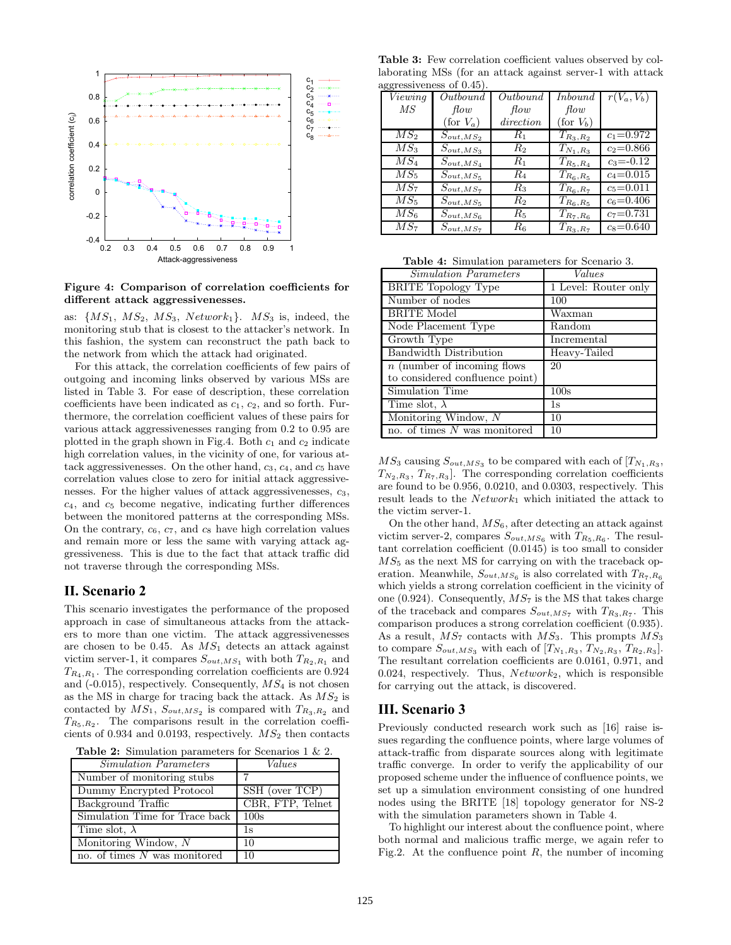

**Figure 4: Comparison of correlation coefficients for different attack aggressivenesses.**

as:  $\{MS_1, MS_2, MS_3, Network_1\}$ .  $MS_3$  is, indeed, the monitoring stub that is closest to the attacker's network. In this fashion, the system can reconstruct the path back to the network from which the attack had originated.

For this attack, the correlation coefficients of few pairs of outgoing and incoming links observed by various MSs are listed in Table 3. For ease of description, these correlation coefficients have been indicated as  $c_1, c_2$ , and so forth. Furthermore, the correlation coefficient values of these pairs for various attack aggressivenesses ranging from 0.2 to 0.95 are plotted in the graph shown in Fig.4. Both  $c_1$  and  $c_2$  indicate high correlation values, in the vicinity of one, for various attack aggressivenesses. On the other hand,  $c_3$ ,  $c_4$ , and  $c_5$  have correlation values close to zero for initial attack aggressivenesses. For the higher values of attack aggressivenesses,  $c_3$ ,  $c_4$ , and  $c_5$  become negative, indicating further differences between the monitored patterns at the corresponding MSs. On the contrary,  $c_6$ ,  $c_7$ , and  $c_8$  have high correlation values and remain more or less the same with varying attack aggressiveness. This is due to the fact that attack traffic did not traverse through the corresponding MSs.

## **II. Scenario 2**

This scenario investigates the performance of the proposed approach in case of simultaneous attacks from the attackers to more than one victim. The attack aggressivenesses are chosen to be 0.45. As  $MS_1$  detects an attack against victim server-1, it compares  $S_{out,MS_1}$  with both  $T_{R_2,R_1}$  and  $T_{R_4,R_1}$ . The corresponding correlation coefficients are 0.924 and  $(-0.015)$ , respectively. Consequently,  $MS<sub>4</sub>$  is not chosen as the MS in charge for tracing back the attack. As  $MS<sub>2</sub>$  is contacted by  $MS_1$ ,  $S_{out, MS_2}$  is compared with  $T_{R_3, R_2}$  and  $T_{R_5,R_2}$ . The comparisons result in the correlation coefficients of 0.934 and 0.0193, respectively.  $MS<sub>2</sub>$  then contacts

| <b>Table 2:</b> Simulation parameters for Scenarios $1 \& 2$ . |  |  |  |
|----------------------------------------------------------------|--|--|--|
|----------------------------------------------------------------|--|--|--|

| <i>Simulation Parameters</i>   | Values           |
|--------------------------------|------------------|
| Number of monitoring stubs     |                  |
| Dummy Encrypted Protocol       | SSH (over TCP)   |
| Background Traffic             | CBR, FTP, Telnet |
| Simulation Time for Trace back | 100s             |
| Time slot, $\lambda$           | 1s               |
| Monitoring Window, N           | 10               |
| no. of times $N$ was monitored | 10               |

**Table 3:** Few correlation coefficient values observed by collaborating MSs (for an attack against server-1 with attack aggressiveness of 0.45).

|                 | ~ ~~~~<br><u>obb of othog</u> |             |                     |               |  |  |
|-----------------|-------------------------------|-------------|---------------------|---------------|--|--|
| Viewing         | Outbound                      | Outbound    | Inbound             | $r(V_a,V_b)$  |  |  |
| МS              | flow                          | flow        | flow                |               |  |  |
|                 | (for $V_a$ )                  | direction   | $(\text{for } V_b)$ |               |  |  |
| $MS_2$          | $S_{out,MS_2}$                | $R_1$       | $T_{R_3,R_2}$       | $c_1 = 0.972$ |  |  |
| $MS_3$          | $S_{out,MS_3}$                | $R_2$       | $T_{N_1,R_3}$       | $c_2 = 0.866$ |  |  |
| $MS_4$          | $S_{out,MS_4}$                | $R_{1}$     | $T_{R_5,R_4}$       | $c_3 = -0.12$ |  |  |
| $MS_5$          | $S_{out,MS_5}$                | $R_{4}$     | $T_{R_6, R_5}$      | $c_4 = 0.015$ |  |  |
| MS <sub>7</sub> | $S_{out,MS_7}$                | $R_{3}$     | $T_{R_6,R_7}$       | $c_5 = 0.011$ |  |  |
| $MS_5$          | $S_{out,MS_5}$                | $R_{2}$     | $T_{R_6, R_5}$      | $c_6 = 0.406$ |  |  |
| MS <sub>6</sub> | $S_{out,MS_6}$                | $R_{5}$     | $T_{R_7,R_6}$       | $c_7 = 0.731$ |  |  |
| $MS_7$          | $S_{out,MS_7}$                | $R_{\rm 6}$ | $T_{R_3,R_7}$       | $c_8 = 0.640$ |  |  |

**Table 4:** Simulation parameters for Scenario 3.

| Simulation Parameters           | Values               |
|---------------------------------|----------------------|
| <b>BRITE Topology Type</b>      | 1 Level: Router only |
| Number of nodes                 | 100                  |
| <b>BRITE Model</b>              | Waxman               |
| Node Placement Type             | Random               |
| Growth Type                     | Incremental          |
| Bandwidth Distribution          | Heavy-Tailed         |
| $n$ (number of incoming flows)  | 20                   |
| to considered confluence point) |                      |
| Simulation Time                 | 100s                 |
| Time slot, $\lambda$            | 1s                   |
| Monitoring Window, N            | 10                   |
| no. of times $N$ was monitored  | 10                   |

 $MS_3$  causing  $S_{out,MS_3}$  to be compared with each of  $[T_{N_1,R_3},$  $T_{N_2,R_3}, T_{R_7,R_3}$ . The corresponding correlation coefficients are found to be 0.956, 0.0210, and 0.0303, respectively. This result leads to the  $Network_1$  which initiated the attack to the victim server-1.

On the other hand,  $MS_6$ , after detecting an attack against victim server-2, compares  $S_{out,MS_6}$  with  $T_{R_5,R_6}$ . The resultant correlation coefficient (0.0145) is too small to consider  $MS<sub>5</sub>$  as the next MS for carrying on with the traceback operation. Meanwhile,  $S_{out,MS_6}$  is also correlated with  $T_{R_7,R_6}$ which yields a strong correlation coefficient in the vicinity of one (0.924). Consequently,  $MS<sub>7</sub>$  is the MS that takes charge of the traceback and compares  $S_{out,MS_7}$  with  $T_{R_3,R_7}$ . This comparison produces a strong correlation coefficient (0.935). As a result,  $MS_7$  contacts with  $MS_3$ . This prompts  $MS_3$ to compare  $S_{out,MS_3}$  with each of  $[T_{N_1,R_3}, T_{N_2,R_3}, T_{R_2,R_3}]$ . The resultant correlation coefficients are 0.0161, 0.971, and 0.024, respectively. Thus,  $Network_2$ , which is responsible for carrying out the attack, is discovered.

# **III. Scenario 3**

Previously conducted research work such as [16] raise issues regarding the confluence points, where large volumes of attack-traffic from disparate sources along with legitimate traffic converge. In order to verify the applicability of our proposed scheme under the influence of confluence points, we set up a simulation environment consisting of one hundred nodes using the BRITE [18] topology generator for NS-2 with the simulation parameters shown in Table 4.

To highlight our interest about the confluence point, where both normal and malicious traffic merge, we again refer to Fig.2. At the confluence point  $R$ , the number of incoming